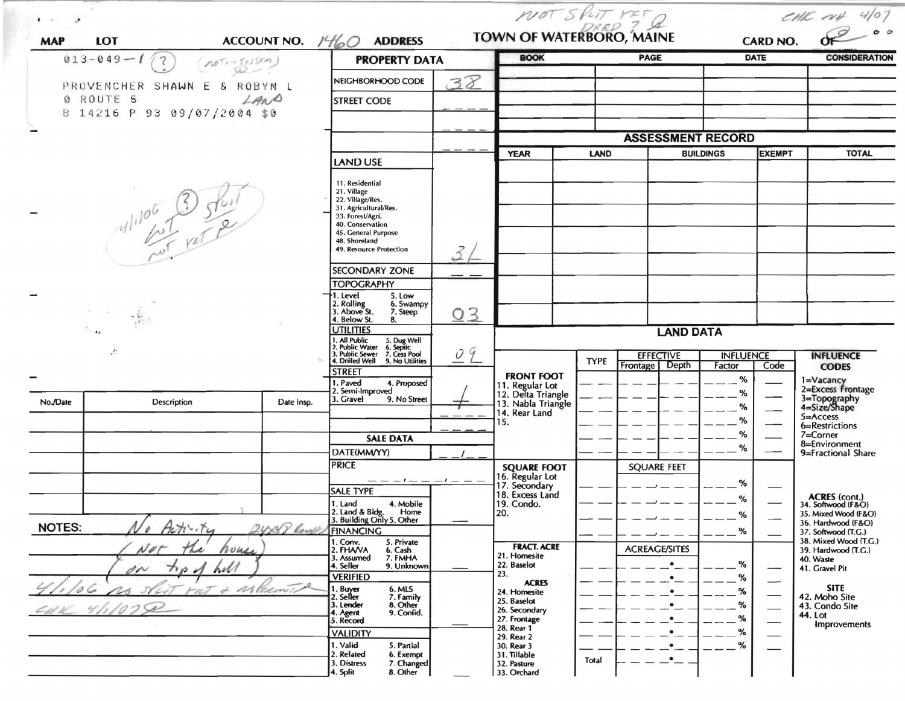|                                                               |                                  |              |                                                                                                                                                                                                          | $MOT$ $SPLTT$ $NETQ$<br>TOWN OF WATERBORO, MAINE |                                                            |             |                                              |                  | CHIC $\alpha\psi$ 4/07         |                                              |  |  |
|---------------------------------------------------------------|----------------------------------|--------------|----------------------------------------------------------------------------------------------------------------------------------------------------------------------------------------------------------|--------------------------------------------------|------------------------------------------------------------|-------------|----------------------------------------------|------------------|--------------------------------|----------------------------------------------|--|--|
| <b>MAP</b>                                                    | ACCOUNT NO. $1460$<br><b>LOT</b> |              | <b>ADDRESS</b>                                                                                                                                                                                           |                                                  | <b>BOOK</b>                                                |             | PAGE                                         |                  | <b>CARD NO.</b><br><b>DATE</b> | <b>CONSIDERATION</b>                         |  |  |
| $013 - 049 - 1$<br>$\mathcal{I}$<br>NOTINSISTIEM)<br>$\omega$ |                                  |              | <b>PROPERTY DATA</b>                                                                                                                                                                                     |                                                  |                                                            |             |                                              |                  |                                |                                              |  |  |
|                                                               | PROVENCHER SHAWN E & ROBYN L     |              | NEIGHBORHOOD CODE                                                                                                                                                                                        | 38                                               |                                                            |             |                                              |                  |                                |                                              |  |  |
|                                                               | 0 ROUTE 5                        | LAND         | <b>STREET CODE</b>                                                                                                                                                                                       |                                                  |                                                            |             |                                              |                  |                                |                                              |  |  |
|                                                               | B 14216 P 93 09/07/2004 \$0      |              |                                                                                                                                                                                                          |                                                  |                                                            |             |                                              |                  |                                |                                              |  |  |
|                                                               |                                  |              |                                                                                                                                                                                                          |                                                  |                                                            |             |                                              |                  |                                |                                              |  |  |
|                                                               |                                  |              |                                                                                                                                                                                                          |                                                  |                                                            |             | <b>ASSESSMENT RECORD</b><br><b>BUILDINGS</b> |                  |                                |                                              |  |  |
|                                                               |                                  |              | <b>LAND USE</b>                                                                                                                                                                                          |                                                  | <b>YEAR</b>                                                | <b>LAND</b> |                                              |                  | <b>EXEMPT</b>                  | <b>TOTAL</b>                                 |  |  |
|                                                               | $41106$ 3 5/6                    |              | 11. Residential<br>21. Village<br>22. Village/Res.<br>31. Agricultural/Res.<br>33. Forest/Agri.<br>40. Conservation<br>45. General Purpose<br>48. Shoreland<br>49. Resource Protection<br>SECONDARY ZONE |                                                  |                                                            |             |                                              |                  |                                |                                              |  |  |
|                                                               |                                  |              | <b>TOPOGRAPHY</b><br>†1. Level<br>5. Low                                                                                                                                                                 |                                                  |                                                            |             |                                              |                  |                                |                                              |  |  |
|                                                               |                                  |              | 2. Rolling<br>3. Above St.<br>6. Swampy<br>7. Steep<br>4. Below St.<br>8.                                                                                                                                | 03                                               |                                                            |             |                                              |                  |                                |                                              |  |  |
|                                                               | 4 <sub>2</sub>                   |              | <b>UTILITIES</b>                                                                                                                                                                                         |                                                  |                                                            |             | <b>LAND DATA</b>                             |                  |                                |                                              |  |  |
|                                                               | $\mathbb{Z}^2$                   |              | 1. All Public<br>2. Public Water<br>3. Public Sewer<br>4. Drilled Well<br>5. Dug Well<br>6. Septic<br>7. Cess Pool                                                                                       | 09                                               |                                                            |             | <b>EFFECTIVE</b>                             | <b>INFLUENCE</b> |                                | <b>INFLUENCE</b>                             |  |  |
|                                                               |                                  |              | 9. No Utilities<br><b>STREET</b>                                                                                                                                                                         |                                                  |                                                            | <b>TYPE</b> | Frontage Depth                               | Factor           | Code                           | <b>CODES</b>                                 |  |  |
|                                                               |                                  |              | 1. Paved<br>4. Proposed<br>2. Semi-Improved                                                                                                                                                              |                                                  | <b>FRONT FOOT</b><br>11. Regular Lot<br>12. Delta Triangle |             |                                              | %<br>%           |                                | 1=Vacancy<br>2=Excess Frontage               |  |  |
| No./Date                                                      | Description                      | Date Insp.   | 3. Gravel<br>9. No Street                                                                                                                                                                                |                                                  | 13. Nabla Triangle<br>14. Rear Land                        |             |                                              | ℅                |                                | 3=Topography<br>4=Size/Shape                 |  |  |
|                                                               |                                  |              |                                                                                                                                                                                                          |                                                  | 15.                                                        |             |                                              | %                |                                | $5 = Access$<br>6=Restrictions               |  |  |
|                                                               |                                  |              | <b>SALE DATA</b>                                                                                                                                                                                         |                                                  |                                                            |             |                                              | %                |                                | 7=Corner<br>8=Environment                    |  |  |
|                                                               |                                  |              | DATE(MM/YY)                                                                                                                                                                                              |                                                  |                                                            |             |                                              | %                |                                | 9=Fractional Share                           |  |  |
|                                                               |                                  |              | <b>PRICE</b>                                                                                                                                                                                             |                                                  | <b>SQUARE FOOT</b><br>16. Regular Lot                      |             | <b>SQUARE FEET</b>                           |                  |                                |                                              |  |  |
|                                                               |                                  |              | $-1$ $ -1$ $-$<br><b>SALE TYPE</b>                                                                                                                                                                       |                                                  | 17. Secondary                                              |             |                                              | %                |                                |                                              |  |  |
|                                                               |                                  |              | 1. Land<br>4. Mobile                                                                                                                                                                                     |                                                  | 18. Excess Land<br>19. Condo.                              |             |                                              | %                |                                | ACRES (cont.)<br>34. Softwood (F&O)          |  |  |
|                                                               |                                  |              | 2. Land & Blde.<br>Home<br>3. Building Only 5. Other                                                                                                                                                     |                                                  | 20.                                                        |             |                                              |                  |                                | 35. Mixed Wood (F&O)<br>36. Hardwood (F&O)   |  |  |
| <b>NOTES:</b>                                                 | Activity                         | 2UNIP Rought | <b>FINANCING</b>                                                                                                                                                                                         |                                                  |                                                            |             |                                              | $-$ %            |                                | 37. Softwood (T.G.)<br>38. Mixed Wood (T.G.) |  |  |
|                                                               | Net<br>house<br>The              |              | 1. Conv.<br>5. Private<br>2. FHAVA<br>6. Cash<br>7. FMHA                                                                                                                                                 |                                                  | <b>FRACT. ACRE</b><br>21. Homesite                         |             | <b>ACREAGE/SITES</b>                         |                  |                                | 39. Hardwood (T.G.)                          |  |  |
|                                                               | $n_{\rm p}$<br>$\sim$<br>w       |              | 3. Assumed<br>4. Seller<br>9. Unknown                                                                                                                                                                    |                                                  | 22. Baselot                                                |             |                                              | %                |                                | 40. Waste<br>41. Gravel Pit                  |  |  |
|                                                               |                                  |              | <b>VERIFIED</b>                                                                                                                                                                                          |                                                  | 23.<br><b>ACRES</b>                                        |             |                                              | %                |                                | <b>SITE</b>                                  |  |  |
|                                                               | s.                               | Ar Chemit    | . Buy <del>er</del><br>. Seller<br>6. MLS<br>7. Family<br>8. Other                                                                                                                                       |                                                  | 24. Homesite<br>25. Baselot                                |             |                                              | %<br>%           |                                | 42. Moho Site                                |  |  |
|                                                               |                                  |              | 3. Lender<br>9. Confid.<br>4. Agent<br>5. Record                                                                                                                                                         |                                                  | 26. Secondary<br>27. Frontage                              |             |                                              | %                |                                | 43. Condo Site<br>44. Lot                    |  |  |
|                                                               |                                  |              | <b>VALIDITY</b>                                                                                                                                                                                          |                                                  | 28. Rear 1                                                 |             |                                              | %                |                                | Improvements                                 |  |  |
|                                                               |                                  |              | 1. Valid<br>5. Partial                                                                                                                                                                                   |                                                  | 29. Rear 2<br>30. Rear 3                                   |             |                                              | %                |                                |                                              |  |  |
|                                                               |                                  |              | 2. Related<br>6. Exempt<br>3. Distress<br>7. Changed                                                                                                                                                     |                                                  | 31. Tillable<br>32. Pasture                                | Total       |                                              |                  |                                |                                              |  |  |
|                                                               |                                  |              | 8. Other<br>4. Split                                                                                                                                                                                     |                                                  | 33. Orchard                                                |             |                                              |                  |                                |                                              |  |  |